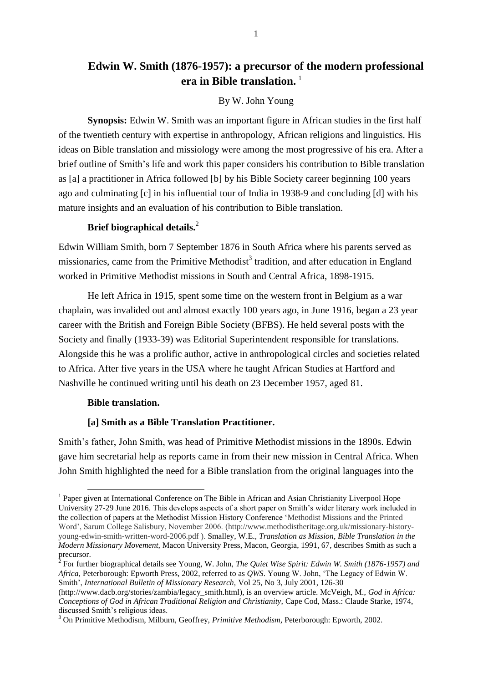## **Edwin W. Smith (1876-1957): a precursor of the modern professional era in Bible translation.**<sup>1</sup>

### By W. John Young

**Synopsis:** Edwin W. Smith was an important figure in African studies in the first half of the twentieth century with expertise in anthropology, African religions and linguistics. His ideas on Bible translation and missiology were among the most progressive of his era. After a brief outline of Smith's life and work this paper considers his contribution to Bible translation as [a] a practitioner in Africa followed [b] by his Bible Society career beginning 100 years ago and culminating [c] in his influential tour of India in 1938-9 and concluding [d] with his mature insights and an evaluation of his contribution to Bible translation.

## **Brief biographical details.**<sup>2</sup>

Edwin William Smith, born 7 September 1876 in South Africa where his parents served as missionaries, came from the Primitive Methodist<sup>3</sup> tradition, and after education in England worked in Primitive Methodist missions in South and Central Africa, 1898-1915.

He left Africa in 1915, spent some time on the western front in Belgium as a war chaplain, was invalided out and almost exactly 100 years ago, in June 1916, began a 23 year career with the British and Foreign Bible Society (BFBS). He held several posts with the Society and finally (1933-39) was Editorial Superintendent responsible for translations. Alongside this he was a prolific author, active in anthropological circles and societies related to Africa. After five years in the USA where he taught African Studies at Hartford and Nashville he continued writing until his death on 23 December 1957, aged 81.

### **Bible translation.**

-

## **[a] Smith as a Bible Translation Practitioner.**

Smith's father, John Smith, was head of Primitive Methodist missions in the 1890s. Edwin gave him secretarial help as reports came in from their new mission in Central Africa. When John Smith highlighted the need for a Bible translation from the original languages into the

<sup>&</sup>lt;sup>1</sup> Paper given at International Conference on The Bible in African and Asian Christianity Liverpool Hope University 27-29 June 2016. This develops aspects of a short paper on Smith's wider literary work included in the collection of papers at the Methodist Mission History Conference 'Methodist Missions and the Printed Word', Sarum College Salisbury, November 2006. (http://www.methodistheritage.org.uk/missionary-historyyoung-edwin-smith-written-word-2006.pdf ). Smalley, W.E., *Translation as Mission*, *Bible Translation in the Modern Missionary Movement,* Macon University Press, Macon, Georgia, 1991, 67, describes Smith as such a precursor.

<sup>2</sup> For further biographical details see Young, W. John, *The Quiet Wise Spirit: Edwin W. Smith (1876-1957) and Africa,* Peterborough: Epworth Press, 2002, referred to as *QWS*. Young W. John, 'The Legacy of Edwin W. Smith', *International Bulletin of Missionary Research,* Vol 25, No 3, July 2001, 126-30

<sup>(</sup>http://www.dacb.org/stories/zambia/legacy\_smith.html), is an overview article. McVeigh, M., *God in Africa: Conceptions of God in African Traditional Religion and Christianity,* Cape Cod, Mass.: Claude Starke, 1974, discussed Smith's religious ideas.

<sup>3</sup> On Primitive Methodism, Milburn, Geoffrey, *Primitive Methodism,* Peterborough: Epworth, 2002.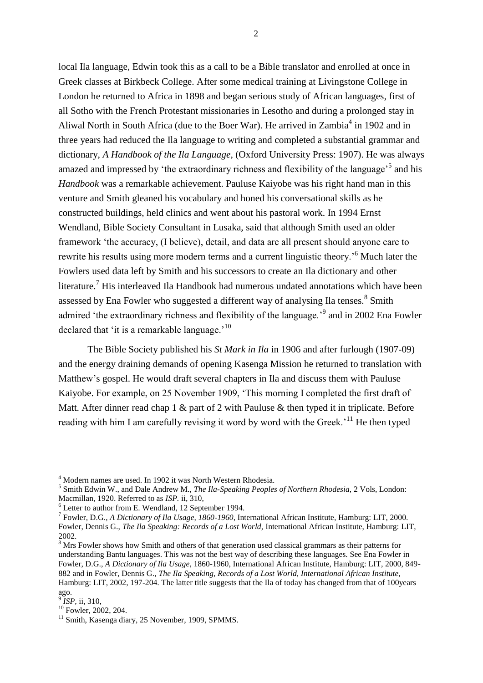local Ila language, Edwin took this as a call to be a Bible translator and enrolled at once in Greek classes at Birkbeck College. After some medical training at Livingstone College in London he returned to Africa in 1898 and began serious study of African languages, first of all Sotho with the French Protestant missionaries in Lesotho and during a prolonged stay in Aliwal North in South Africa (due to the Boer War). He arrived in Zambia<sup>4</sup> in 1902 and in three years had reduced the Ila language to writing and completed a substantial grammar and dictionary, *A Handbook of the Ila Language,* (Oxford University Press: 1907). He was always amazed and impressed by 'the extraordinary richness and flexibility of the language'<sup>5</sup> and his *Handbook* was a remarkable achievement. Pauluse Kaiyobe was his right hand man in this venture and Smith gleaned his vocabulary and honed his conversational skills as he constructed buildings, held clinics and went about his pastoral work. In 1994 Ernst Wendland, Bible Society Consultant in Lusaka, said that although Smith used an older framework 'the accuracy, (I believe), detail, and data are all present should anyone care to rewrite his results using more modern terms and a current linguistic theory.<sup>56</sup> Much later the Fowlers used data left by Smith and his successors to create an Ila dictionary and other literature.<sup>7</sup> His interleaved Ila Handbook had numerous undated annotations which have been assessed by Ena Fowler who suggested a different way of analysing Ila tenses.<sup>8</sup> Smith admired 'the extraordinary richness and flexibility of the language.<sup>'9</sup> and in 2002 Ena Fowler declared that 'it is a remarkable language.'<sup>10</sup>

The Bible Society published his *St Mark in Ila* in 1906 and after furlough (1907-09) and the energy draining demands of opening Kasenga Mission he returned to translation with Matthew's gospel. He would draft several chapters in Ila and discuss them with Pauluse Kaiyobe. For example, on 25 November 1909, 'This morning I completed the first draft of Matt. After dinner read chap 1 & part of 2 with Pauluse & then typed it in triplicate. Before reading with him I am carefully revising it word by word with the Greek.<sup>11</sup> He then typed

<sup>4</sup> Modern names are used. In 1902 it was North Western Rhodesia.

<sup>5</sup> Smith Edwin W., and Dale Andrew M., *The Ila-Speaking Peoples of Northern Rhodesia,* 2 Vols, London: Macmillan, 1920. Referred to as *ISP.* ii, 310,

<sup>6</sup> Letter to author from E. Wendland, 12 September 1994.

<sup>7</sup> Fowler, D.G., *A Dictionary of Ila Usage, 1860-1960*, International African Institute, Hamburg: LIT, 2000. Fowler, Dennis G., *The Ila Speaking: Records of a Lost World,* International African Institute, Hamburg: LIT, 2002.

<sup>&</sup>lt;sup>8</sup> Mrs Fowler shows how Smith and others of that generation used classical grammars as their patterns for understanding Bantu languages. This was not the best way of describing these languages. See Ena Fowler in Fowler, D.G., *A Dictionary of Ila Usage*, 1860-1960, International African Institute, Hamburg: LIT, 2000, 849- 882 and in Fowler, Dennis G., *The Ila Speaking, Records of a Lost World, International African Institute,*  Hamburg: LIT, 2002, 197-204. The latter title suggests that the Ila of today has changed from that of 100years ago.<br><sup>9</sup> *I*cl

*ISP,* ii, 310,

<sup>&</sup>lt;sup>10</sup> Fowler, 2002, 204.

<sup>&</sup>lt;sup>11</sup> Smith, Kasenga diary, 25 November, 1909, SPMMS.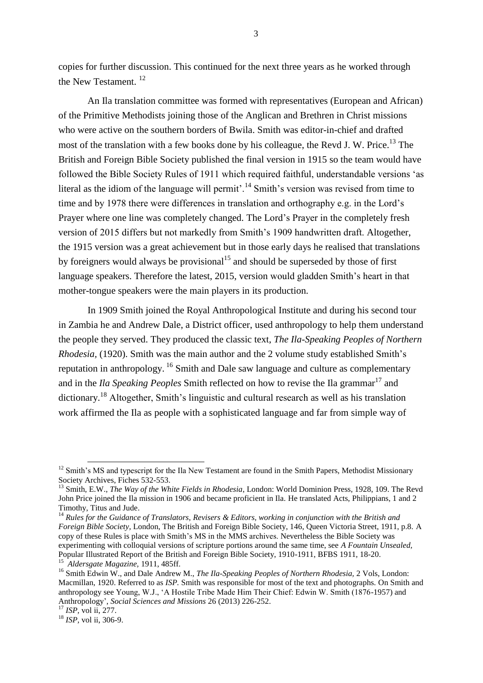copies for further discussion. This continued for the next three years as he worked through the New Testament. <sup>12</sup>

An Ila translation committee was formed with representatives (European and African) of the Primitive Methodists joining those of the Anglican and Brethren in Christ missions who were active on the southern borders of Bwila. Smith was editor-in-chief and drafted most of the translation with a few books done by his colleague, the Revd J. W. Price.<sup>13</sup> The British and Foreign Bible Society published the final version in 1915 so the team would have followed the Bible Society Rules of 1911 which required faithful, understandable versions 'as literal as the idiom of the language will permit'.<sup>14</sup> Smith's version was revised from time to time and by 1978 there were differences in translation and orthography e.g. in the Lord's Prayer where one line was completely changed. The Lord's Prayer in the completely fresh version of 2015 differs but not markedly from Smith's 1909 handwritten draft. Altogether, the 1915 version was a great achievement but in those early days he realised that translations by foreigners would always be provisional<sup>15</sup> and should be superseded by those of first language speakers. Therefore the latest, 2015, version would gladden Smith's heart in that mother-tongue speakers were the main players in its production.

In 1909 Smith joined the Royal Anthropological Institute and during his second tour in Zambia he and Andrew Dale, a District officer, used anthropology to help them understand the people they served. They produced the classic text, *The Ila-Speaking Peoples of Northern Rhodesia,* (1920). Smith was the main author and the 2 volume study established Smith's reputation in anthropology. <sup>16</sup> Smith and Dale saw language and culture as complementary and in the *Ila Speaking Peoples* Smith reflected on how to revise the Ila grammar<sup>17</sup> and dictionary.<sup>18</sup> Altogether, Smith's linguistic and cultural research as well as his translation work affirmed the Ila as people with a sophisticated language and far from simple way of

-

 $12$  Smith's MS and typescript for the Ila New Testament are found in the Smith Papers, Methodist Missionary Society Archives, Fiches 532-553.

<sup>13</sup> Smith, E.W., *The Way of the White Fields in Rhodesia*, London: World Dominion Press, 1928, 109. The Revd John Price joined the Ila mission in 1906 and became proficient in Ila. He translated Acts, Philippians, 1 and 2 Timothy, Titus and Jude.

<sup>14</sup> *Rules for the Guidance of Translators, Revisers & Editors, working in conjunction with the British and Foreign Bible Society,* London, The British and Foreign Bible Society, 146, Queen Victoria Street, 1911, p.8. A copy of these Rules is place with Smith's MS in the MMS archives. Nevertheless the Bible Society was experimenting with colloquial versions of scripture portions around the same time, see *A Fountain Unsealed,*  Popular Illustrated Report of the British and Foreign Bible Society, 1910-1911, BFBS 1911, 18-20.

<sup>15</sup> *Aldersgate Magazine,* 1911, 485ff.

<sup>16</sup> Smith Edwin W., and Dale Andrew M., *The Ila-Speaking Peoples of Northern Rhodesia,* 2 Vols, London: Macmillan, 1920. Referred to as *ISP.* Smith was responsible for most of the text and photographs. On Smith and anthropology see Young, W.J., 'A Hostile Tribe Made Him Their Chief: Edwin W. Smith (1876-1957) and Anthropology', *Social Sciences and Missions* 26 (2013) 226-252.

<sup>17</sup> *ISP,* vol ii, 277.

<sup>18</sup> *ISP,* vol ii, 306-9.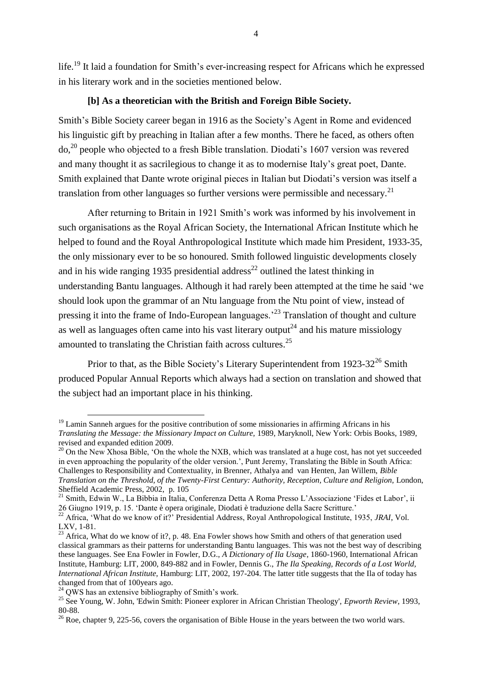life.<sup>19</sup> It laid a foundation for Smith's ever-increasing respect for Africans which he expressed in his literary work and in the societies mentioned below.

#### **[b] As a theoretician with the British and Foreign Bible Society.**

Smith's Bible Society career began in 1916 as the Society's Agent in Rome and evidenced his linguistic gift by preaching in Italian after a few months. There he faced, as others often do, <sup>20</sup> people who objected to a fresh Bible translation. Diodati's 1607 version was revered and many thought it as sacrilegious to change it as to modernise Italy's great poet, Dante. Smith explained that Dante wrote original pieces in Italian but Diodati's version was itself a translation from other languages so further versions were permissible and necessary.<sup>21</sup>

After returning to Britain in 1921 Smith's work was informed by his involvement in such organisations as the Royal African Society, the International African Institute which he helped to found and the Royal Anthropological Institute which made him President, 1933-35, the only missionary ever to be so honoured. Smith followed linguistic developments closely and in his wide ranging 1935 presidential address<sup>22</sup> outlined the latest thinking in understanding Bantu languages. Although it had rarely been attempted at the time he said 'we should look upon the grammar of an Ntu language from the Ntu point of view, instead of pressing it into the frame of Indo-European languages.'<sup>23</sup> Translation of thought and culture as well as languages often came into his vast literary output<sup>24</sup> and his mature missiology amounted to translating the Christian faith across cultures.<sup>25</sup>

Prior to that, as the Bible Society's Literary Superintendent from  $1923-32^{26}$  Smith produced Popular Annual Reports which always had a section on translation and showed that the subject had an important place in his thinking.

<sup>20</sup> On the New Xhosa Bible, 'On the whole the NXB, which was translated at a huge cost, has not yet succeeded in even approaching the popularity of the older version.', Punt Jeremy, Translating the Bible in South Africa: Challenges to Responsibility and Contextuality, in Brenner, Athalya and van Henten, Jan Willem, *Bible Translation on the Threshold, of the Twenty-First Century: Authority, Reception, Culture and Religion,* London, Sheffield Academic Press, 2002, p. 105

 $19$  Lamin Sanneh argues for the positive contribution of some missionaries in affirming Africans in his *Translating the Message: the Missionary Impact on Culture,* 1989, Maryknoll, New York: Orbis Books, 1989, revised and expanded edition 2009.

<sup>&</sup>lt;sup>21</sup> Smith, Edwin W., La Bibbia in Italia, Conferenza Detta A Roma Presso L'Associazione 'Fides et Labor', ii 26 Giugno 1919, p. 15. 'Dante è opera originale, Diodati è traduzione della Sacre Scritture.'

<sup>22</sup> Africa, 'What do we know of it?' Presidential Address, Royal Anthropological Institute, 1935, *JRAI*, Vol. LXV, 1-81.

 $^{23}$  Africa, What do we know of it?, p. 48. Ena Fowler shows how Smith and others of that generation used classical grammars as their patterns for understanding Bantu languages. This was not the best way of describing these languages. See Ena Fowler in Fowler, D.G., *A Dictionary of Ila Usage*, 1860-1960, International African Institute, Hamburg: LIT, 2000, 849-882 and in Fowler, Dennis G., *The Ila Speaking, Records of a Lost World, International African Institute,* Hamburg: LIT, 2002, 197-204. The latter title suggests that the Ila of today has changed from that of 100years ago.

 $24$  OWS has an extensive bibliography of Smith's work.

<sup>25</sup> See Young, W. John, 'Edwin Smith: Pioneer explorer in African Christian Theology', *Epworth Review*, 1993, 80-88.

<sup>&</sup>lt;sup>26</sup> Roe, chapter 9, 225-56, covers the organisation of Bible House in the years between the two world wars.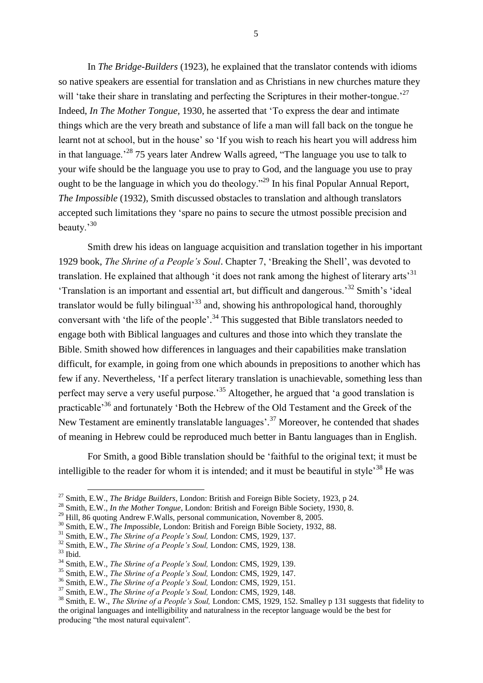In *The Bridge-Builders* (1923), he explained that the translator contends with idioms so native speakers are essential for translation and as Christians in new churches mature they will 'take their share in translating and perfecting the Scriptures in their mother-tongue.<sup>27</sup> Indeed, *In The Mother Tongue,* 1930, he asserted that 'To express the dear and intimate things which are the very breath and substance of life a man will fall back on the tongue he learnt not at school, but in the house' so 'If you wish to reach his heart you will address him in that language.<sup> $28$ </sup> 75 years later Andrew Walls agreed, "The language you use to talk to your wife should be the language you use to pray to God, and the language you use to pray ought to be the language in which you do theology."<sup>29</sup> In his final Popular Annual Report, *The Impossible* (1932), Smith discussed obstacles to translation and although translators accepted such limitations they 'spare no pains to secure the utmost possible precision and beauty.'<sup>30</sup>

Smith drew his ideas on language acquisition and translation together in his important 1929 book, *The Shrine of a People's Soul*. Chapter 7, 'Breaking the Shell', was devoted to translation. He explained that although 'it does not rank among the highest of literary arts<sup>31</sup> 'Translation is an important and essential art, but difficult and dangerous.'<sup>32</sup> Smith's 'ideal translator would be fully bilingual<sup>33</sup> and, showing his anthropological hand, thoroughly conversant with 'the life of the people'.<sup>34</sup> This suggested that Bible translators needed to engage both with Biblical languages and cultures and those into which they translate the Bible. Smith showed how differences in languages and their capabilities make translation difficult, for example, in going from one which abounds in prepositions to another which has few if any. Nevertheless, 'If a perfect literary translation is unachievable, something less than perfect may serve a very useful purpose.<sup>35</sup> Altogether, he argued that 'a good translation is practicable'<sup>36</sup> and fortunately 'Both the Hebrew of the Old Testament and the Greek of the New Testament are eminently translatable languages'.<sup>37</sup> Moreover, he contended that shades of meaning in Hebrew could be reproduced much better in Bantu languages than in English.

For Smith, a good Bible translation should be 'faithful to the original text; it must be intelligible to the reader for whom it is intended; and it must be beautiful in style<sup>38</sup> He was

-

<sup>36</sup> Smith, E.W., *The Shrine of a People's Soul,* London: CMS, 1929, 151.

<sup>27</sup> Smith, E.W., *The Bridge Builders*, London: British and Foreign Bible Society, 1923, p 24.

<sup>28</sup> Smith, E.W., *In the Mother Tongue,* London: British and Foreign Bible Society, 1930, 8.

<sup>&</sup>lt;sup>29</sup> Hill, 86 quoting Andrew F.Walls, personal communication, November 8, 2005.

<sup>30</sup> Smith, E.W., *The Impossible,* London: British and Foreign Bible Society, 1932, 88.

<sup>31</sup> Smith, E.W., *The Shrine of a People's Soul,* London: CMS, 1929, 137.

<sup>32</sup> Smith, E.W., *The Shrine of a People's Soul,* London: CMS, 1929, 138.

 $33$  Ibid.

<sup>34</sup> Smith, E.W., *The Shrine of a People's Soul,* London: CMS, 1929, 139.

<sup>35</sup> Smith, E.W., *The Shrine of a People's Soul,* London: CMS, 1929, 147.

<sup>37</sup> Smith, E.W., *The Shrine of a People's Soul,* London: CMS, 1929, 148.

<sup>38</sup> Smith, E. W., *The Shrine of a People's Soul,* London: CMS, 1929, 152. Smalley p 131 suggests that fidelity to the original languages and intelligibility and naturalness in the receptor language would be the best for producing "the most natural equivalent".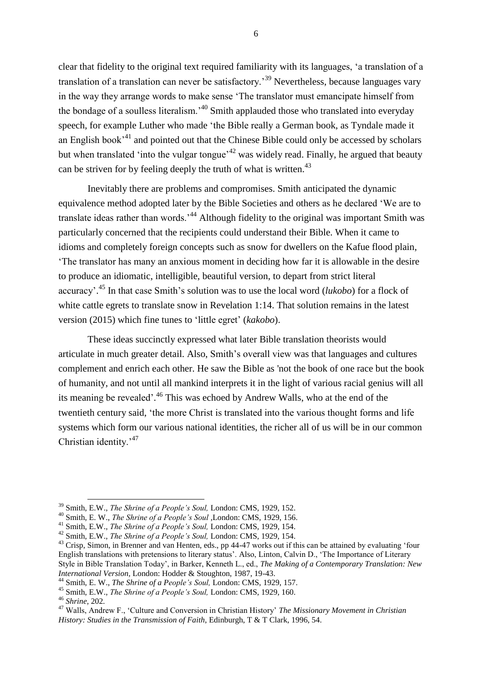clear that fidelity to the original text required familiarity with its languages, 'a translation of a translation of a translation can never be satisfactory.'<sup>39</sup> Nevertheless, because languages vary in the way they arrange words to make sense 'The translator must emancipate himself from the bondage of a soulless literalism.<sup>40</sup> Smith applauded those who translated into everyday speech, for example Luther who made 'the Bible really a German book, as Tyndale made it an English book<sup> $31$ </sup> and pointed out that the Chinese Bible could only be accessed by scholars but when translated 'into the vulgar tongue'<sup>42</sup> was widely read. Finally, he argued that beauty can be striven for by feeling deeply the truth of what is written.<sup>43</sup>

Inevitably there are problems and compromises. Smith anticipated the dynamic equivalence method adopted later by the Bible Societies and others as he declared 'We are to translate ideas rather than words.<sup>44</sup> Although fidelity to the original was important Smith was particularly concerned that the recipients could understand their Bible. When it came to idioms and completely foreign concepts such as snow for dwellers on the Kafue flood plain, 'The translator has many an anxious moment in deciding how far it is allowable in the desire to produce an idiomatic, intelligible, beautiful version, to depart from strict literal accuracy'. <sup>45</sup> In that case Smith's solution was to use the local word (*lukobo*) for a flock of white cattle egrets to translate snow in Revelation 1:14. That solution remains in the latest version (2015) which fine tunes to 'little egret' (*kakobo*).

These ideas succinctly expressed what later Bible translation theorists would articulate in much greater detail. Also, Smith's overall view was that languages and cultures complement and enrich each other. He saw the Bible as 'not the book of one race but the book of humanity, and not until all mankind interprets it in the light of various racial genius will all its meaning be revealed'.<sup>46</sup> This was echoed by Andrew Walls, who at the end of the twentieth century said, 'the more Christ is translated into the various thought forms and life systems which form our various national identities, the richer all of us will be in our common Christian identity.'<sup>47</sup>

<sup>39</sup> Smith, E.W., *The Shrine of a People's Soul,* London: CMS, 1929, 152.

<sup>40</sup> Smith, E. W., *The Shrine of a People's Soul ,*London: CMS, 1929, 156.

<sup>41</sup> Smith, E.W., *The Shrine of a People's Soul,* London: CMS, 1929, 154.

<sup>42</sup> Smith, E.W., *The Shrine of a People's Soul,* London: CMS, 1929, 154.

<sup>&</sup>lt;sup>43</sup> Crisp, Simon, in Brenner and van Henten, eds., pp 44-47 works out if this can be attained by evaluating 'four English translations with pretensions to literary status'. Also, Linton, Calvin D., 'The Importance of Literary Style in Bible Translation Today', in Barker, Kenneth L., ed., *The Making of a Contemporary Translation: New International Version,* London: Hodder & Stoughton, 1987, 19-43.

<sup>44</sup> Smith, E. W., *The Shrine of a People's Soul,* London: CMS, 1929, 157.

<sup>45</sup> Smith, E.W., *The Shrine of a People's Soul,* London: CMS, 1929, 160.

<sup>46</sup> *Shrine,* 202*.*

<sup>47</sup> Walls, Andrew F., 'Culture and Conversion in Christian History' *The Missionary Movement in Christian History: Studies in the Transmission of Faith*, Edinburgh, T & T Clark, 1996, 54.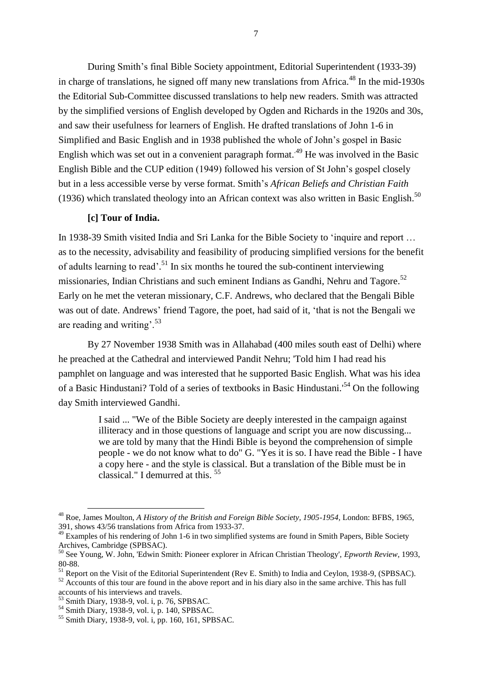During Smith's final Bible Society appointment, Editorial Superintendent (1933-39) in charge of translations, he signed off many new translations from Africa.<sup>48</sup> In the mid-1930s the Editorial Sub-Committee discussed translations to help new readers. Smith was attracted by the simplified versions of English developed by Ogden and Richards in the 1920s and 30s, and saw their usefulness for learners of English. He drafted translations of John 1-6 in Simplified and Basic English and in 1938 published the whole of John's gospel in Basic English which was set out in a convenient paragraph format.<sup>49</sup> He was involved in the Basic English Bible and the CUP edition (1949) followed his version of St John's gospel closely but in a less accessible verse by verse format. Smith's *African Beliefs and Christian Faith*  (1936) which translated theology into an African context was also written in Basic English.<sup>50</sup>

#### **[c] Tour of India.**

In 1938-39 Smith visited India and Sri Lanka for the Bible Society to 'inquire and report … as to the necessity, advisability and feasibility of producing simplified versions for the benefit of adults learning to read'.<sup>51</sup> In six months he toured the sub-continent interviewing missionaries, Indian Christians and such eminent Indians as Gandhi, Nehru and Tagore.<sup>52</sup> Early on he met the veteran missionary, C.F. Andrews, who declared that the Bengali Bible was out of date. Andrews' friend Tagore, the poet, had said of it, 'that is not the Bengali we are reading and writing'.<sup>53</sup>

By 27 November 1938 Smith was in Allahabad (400 miles south east of Delhi) where he preached at the Cathedral and interviewed Pandit Nehru; 'Told him I had read his pamphlet on language and was interested that he supported Basic English. What was his idea of a Basic Hindustani? Told of a series of textbooks in Basic Hindustani.'<sup>54</sup> On the following day Smith interviewed Gandhi.

> I said ... "We of the Bible Society are deeply interested in the campaign against illiteracy and in those questions of language and script you are now discussing... we are told by many that the Hindi Bible is beyond the comprehension of simple people - we do not know what to do" G. "Yes it is so. I have read the Bible - I have a copy here - and the style is classical. But a translation of the Bible must be in classical." I demurred at this. <sup>55</sup>

<sup>48</sup> Roe, James Moulton, *A History of the British and Foreign Bible Society, 1905-1954,* London: BFBS, 1965, 391, shows 43/56 translations from Africa from 1933-37.

 $49$  Examples of his rendering of John 1-6 in two simplified systems are found in Smith Papers, Bible Society Archives, Cambridge (SPBSAC).

<sup>50</sup> See Young, W. John, 'Edwin Smith: Pioneer explorer in African Christian Theology', *Epworth Review*, 1993, 80-88.

<sup>&</sup>lt;sup>51</sup> Report on the Visit of the Editorial Superintendent (Rev E. Smith) to India and Ceylon, 1938-9, (SPBSAC).

<sup>&</sup>lt;sup>52</sup> Accounts of this tour are found in the above report and in his diary also in the same archive. This has full accounts of his interviews and travels.

<sup>53</sup> Smith Diary, 1938-9, vol. i, p. 76, SPBSAC.

<sup>54</sup> Smith Diary, 1938-9, vol. i, p. 140, SPBSAC.

<sup>55</sup> Smith Diary, 1938-9, vol. i, pp. 160, 161, SPBSAC.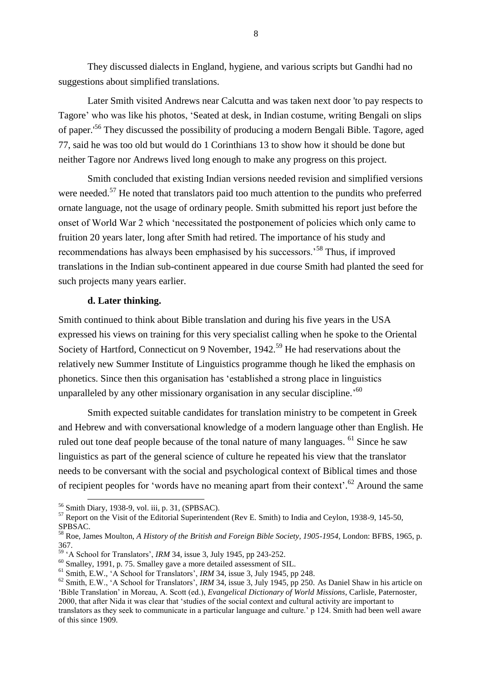They discussed dialects in England, hygiene, and various scripts but Gandhi had no suggestions about simplified translations.

Later Smith visited Andrews near Calcutta and was taken next door 'to pay respects to Tagore' who was like his photos, 'Seated at desk, in Indian costume, writing Bengali on slips of paper.'<sup>56</sup> They discussed the possibility of producing a modern Bengali Bible. Tagore, aged 77, said he was too old but would do 1 Corinthians 13 to show how it should be done but neither Tagore nor Andrews lived long enough to make any progress on this project.

Smith concluded that existing Indian versions needed revision and simplified versions were needed.<sup>57</sup> He noted that translators paid too much attention to the pundits who preferred ornate language, not the usage of ordinary people. Smith submitted his report just before the onset of World War 2 which 'necessitated the postponement of policies which only came to fruition 20 years later, long after Smith had retired. The importance of his study and recommendations has always been emphasised by his successors.'<sup>58</sup> Thus, if improved translations in the Indian sub-continent appeared in due course Smith had planted the seed for such projects many years earlier.

#### **d. Later thinking.**

Smith continued to think about Bible translation and during his five years in the USA expressed his views on training for this very specialist calling when he spoke to the Oriental Society of Hartford, Connecticut on 9 November, 1942.<sup>59</sup> He had reservations about the relatively new Summer Institute of Linguistics programme though he liked the emphasis on phonetics. Since then this organisation has 'established a strong place in linguistics unparalleled by any other missionary organisation in any secular discipline.<sup>560</sup>

Smith expected suitable candidates for translation ministry to be competent in Greek and Hebrew and with conversational knowledge of a modern language other than English. He ruled out tone deaf people because of the tonal nature of many languages. <sup>61</sup> Since he saw linguistics as part of the general science of culture he repeated his view that the translator needs to be conversant with the social and psychological context of Biblical times and those of recipient peoples for 'words have no meaning apart from their context'.<sup>62</sup> Around the same

<sup>56</sup> Smith Diary, 1938-9, vol. iii, p. 31, (SPBSAC).

<sup>&</sup>lt;sup>57</sup> Report on the Visit of the Editorial Superintendent (Rev E. Smith) to India and Ceylon, 1938-9, 145-50, SPBSAC.

<sup>58</sup> Roe, James Moulton, *A History of the British and Foreign Bible Society, 1905-1954,* London: BFBS, 1965, p. 367.

<sup>59</sup> 'A School for Translators', *IRM* 34, issue 3, July 1945, pp 243-252.

<sup>&</sup>lt;sup>60</sup> Smalley, 1991, p. 75. Smalley gave a more detailed assessment of SIL.

<sup>61</sup> Smith, E.W., 'A School for Translators', *IRM* 34, issue 3, July 1945, pp 248.

<sup>62</sup> Smith, E.W., 'A School for Translators', *IRM* 34, issue 3, July 1945, pp 250. As Daniel Shaw in his article on 'Bible Translation' in Moreau, A. Scott (ed.), *Evangelical Dictionary of World Missions*, Carlisle, Paternoster, 2000, that after Nida it was clear that 'studies of the social context and cultural activity are important to translators as they seek to communicate in a particular language and culture.' p 124. Smith had been well aware of this since 1909.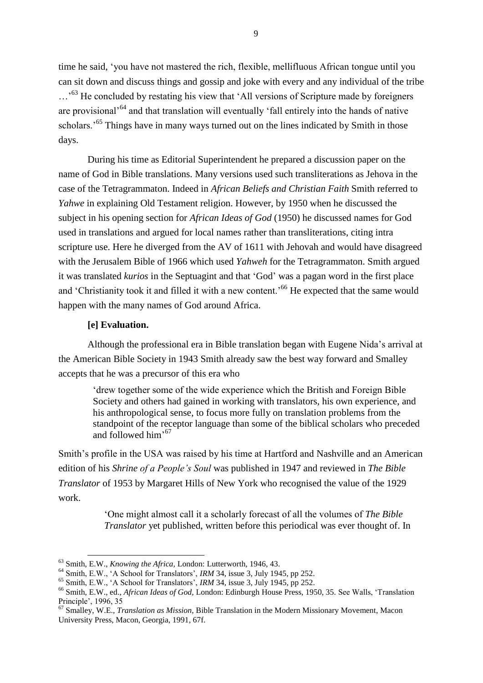time he said, 'you have not mastered the rich, flexible, mellifluous African tongue until you can sit down and discuss things and gossip and joke with every and any individual of the tribe ...<sup>53</sup> He concluded by restating his view that 'All versions of Scripture made by foreigners are provisional'<sup>64</sup> and that translation will eventually 'fall entirely into the hands of native scholars.<sup>'65</sup> Things have in many ways turned out on the lines indicated by Smith in those days.

During his time as Editorial Superintendent he prepared a discussion paper on the name of God in Bible translations. Many versions used such transliterations as Jehova in the case of the Tetragrammaton. Indeed in *African Beliefs and Christian Faith* Smith referred to *Yahwe* in explaining Old Testament religion. However, by 1950 when he discussed the subject in his opening section for *African Ideas of God* (1950) he discussed names for God used in translations and argued for local names rather than transliterations, citing intra scripture use. Here he diverged from the AV of 1611 with Jehovah and would have disagreed with the Jerusalem Bible of 1966 which used *Yahweh* for the Tetragrammaton. Smith argued it was translated *kurios* in the Septuagint and that 'God' was a pagan word in the first place and 'Christianity took it and filled it with a new content.<sup>'66</sup> He expected that the same would happen with the many names of God around Africa.

#### **[e] Evaluation.**

-

Although the professional era in Bible translation began with Eugene Nida's arrival at the American Bible Society in 1943 Smith already saw the best way forward and Smalley accepts that he was a precursor of this era who

'drew together some of the wide experience which the British and Foreign Bible Society and others had gained in working with translators, his own experience, and his anthropological sense, to focus more fully on translation problems from the standpoint of the receptor language than some of the biblical scholars who preceded and followed him' 67

Smith's profile in the USA was raised by his time at Hartford and Nashville and an American edition of his *Shrine of a People's Soul* was published in 1947 and reviewed in *The Bible Translator* of 1953 by Margaret Hills of New York who recognised the value of the 1929 work.

> 'One might almost call it a scholarly forecast of all the volumes of *The Bible Translator* yet published, written before this periodical was ever thought of. In

<sup>63</sup> Smith, E.W., *Knowing the Africa,* London: Lutterworth, 1946, 43.

<sup>&</sup>lt;sup>64</sup> Smith, E.W., 'A School for Translators', *IRM* 34, issue 3, July 1945, pp 252.

<sup>65</sup> Smith, E.W., 'A School for Translators', *IRM* 34, issue 3, July 1945, pp 252.

<sup>66</sup> Smith, E.W., ed., *African Ideas of God,* London: Edinburgh House Press, 1950, 35. See Walls, 'Translation Principle', 1996, 35

<sup>67</sup> Smalley, W.E., *Translation as Mission*, Bible Translation in the Modern Missionary Movement, Macon University Press, Macon, Georgia, 1991, 67f.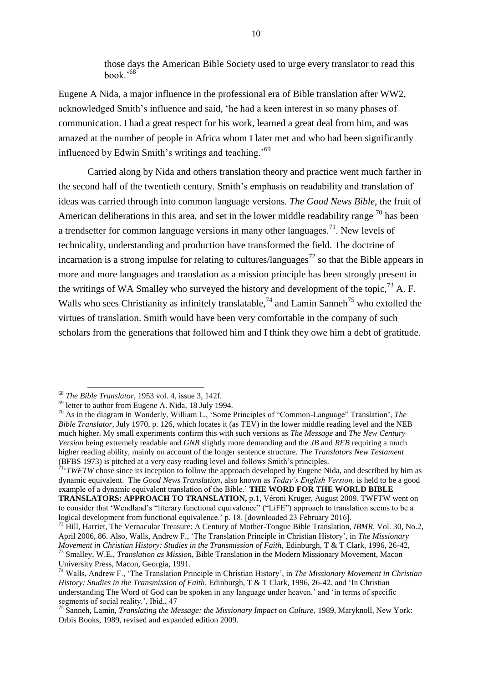those days the American Bible Society used to urge every translator to read this  $h$ ook<sup> $,68$ </sup>

Eugene A Nida, a major influence in the professional era of Bible translation after WW2, acknowledged Smith's influence and said, 'he had a keen interest in so many phases of communication. I had a great respect for his work, learned a great deal from him, and was amazed at the number of people in Africa whom I later met and who had been significantly influenced by Edwin Smith's writings and teaching.'<sup>69</sup>

Carried along by Nida and others translation theory and practice went much farther in the second half of the twentieth century. Smith's emphasis on readability and translation of ideas was carried through into common language versions. *The Good News Bible,* the fruit of American deliberations in this area, and set in the lower middle readability range  $^{70}$  has been a trendsetter for common language versions in many other languages.<sup>71</sup>. New levels of technicality, understanding and production have transformed the field. The doctrine of incarnation is a strong impulse for relating to cultures/languages<sup>72</sup> so that the Bible appears in more and more languages and translation as a mission principle has been strongly present in the writings of WA Smalley who surveyed the history and development of the topic,  $^{73}$  A. F. Walls who sees Christianity as infinitely translatable.<sup>74</sup> and Lamin Sanneh<sup>75</sup> who extolled the virtues of translation. Smith would have been very comfortable in the company of such scholars from the generations that followed him and I think they owe him a debt of gratitude.

1

 $71'$ <sup>1</sup>'*TWFTW* chose since its inception to follow the approach developed by Eugene Nida, and described by him as dynamic equivalent. The *Good News Translation*, also known as *Today's English Version,* is held to be a good example of a dynamic equivalent translation of the Bible.' **THE WORD FOR THE WORLD BIBLE TRANSLATORS: APPROACH TO TRANSLATION,** p.1, Véroni Krüger, August 2009. TWFTW went on to consider that 'Wendland's "literary functional equivalence" ("LiFE") approach to translation seems to be a logical development from functional equivalence.' p. 18. [downloaded 23 February 2016].

<sup>68</sup> *The Bible Translator*, 1953 vol. 4, issue 3, 142f.

<sup>69</sup> letter to author from Eugene A. Nida, 18 July 1994.

<sup>70</sup> As in the diagram in Wonderly, William L., 'Some Principles of "Common-Language" Translation', *The Bible Translator*, July 1970, p. 126, which locates it (as TEV) in the lower middle reading level and the NEB much higher. My small experiments confirm this with such versions as *The Message* and *The New Century Version* being extremely readable and *GNB* slightly more demanding and the *JB* and *REB* requiring a much higher reading ability, mainly on account of the longer sentence structure. *The Translators New Testament*  (BFBS 1973) is pitched at a very easy reading level and follows Smith's principles.

<sup>&</sup>lt;sup>72</sup> Hill, Harriet, The Vernacular Treasure: A Century of Mother-Tongue Bible Translation, *IBMR*, Vol. 30, No.2, April 2006, 86. Also, Walls, Andrew F., 'The Translation Principle in Christian History', in *The Missionary Movement in Christian History: Studies in the Transmission of Faith*, Edinburgh, T & T Clark, 1996, 26-42,

<sup>73</sup> Smalley, W.E., *Translation as Mission*, Bible Translation in the Modern Missionary Movement, Macon University Press, Macon, Georgia, 1991.

<sup>74</sup> Walls, Andrew F., 'The Translation Principle in Christian History', in *The Missionary Movement in Christian History: Studies in the Transmission of Faith*, Edinburgh, T & T Clark, 1996, 26-42, and 'In Christian understanding The Word of God can be spoken in any language under heaven.' and 'in terms of specific segments of social reality.', Ibid., 47

<sup>75</sup> Sanneh, Lamin, *Translating the Message: the Missionary Impact on Culture*, 1989, Maryknoll, New York: Orbis Books, 1989, revised and expanded edition 2009.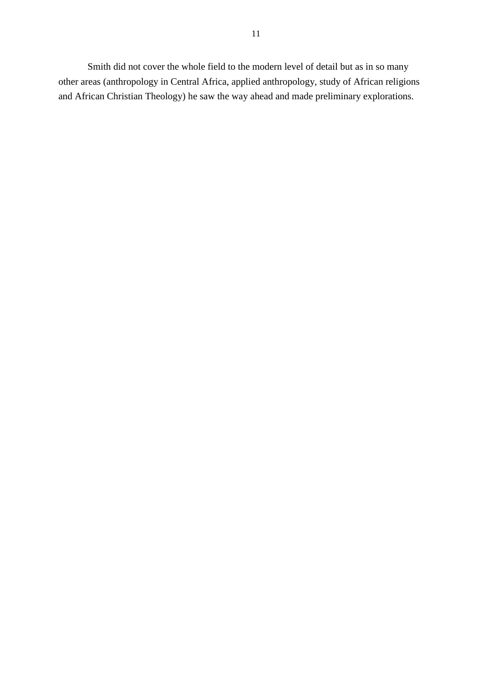Smith did not cover the whole field to the modern level of detail but as in so many other areas (anthropology in Central Africa, applied anthropology, study of African religions and African Christian Theology) he saw the way ahead and made preliminary explorations.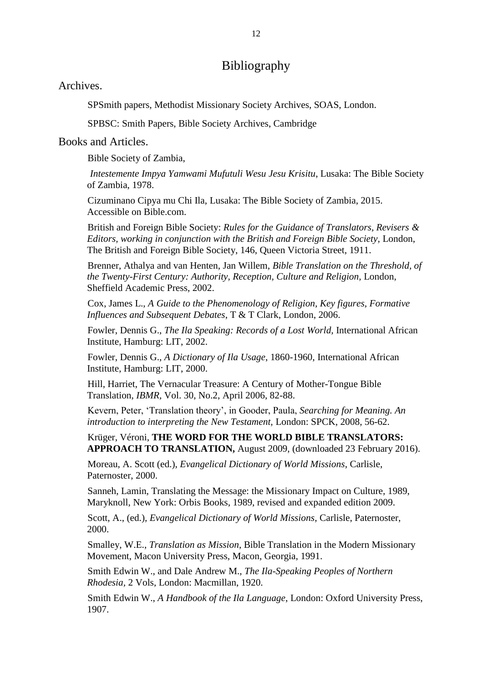# Bibliography

Archives.

SPSmith papers, Methodist Missionary Society Archives, SOAS, London.

SPBSC: Smith Papers, Bible Society Archives, Cambridge

## Books and Articles.

Bible Society of Zambia,

*Intestemente Impya Yamwami Mufutuli Wesu Jesu Krisitu*, Lusaka: The Bible Society of Zambia, 1978.

Cizuminano Cipya mu Chi Ila, Lusaka: The Bible Society of Zambia, 2015. Accessible on Bible.com.

British and Foreign Bible Society: *Rules for the Guidance of Translators, Revisers & Editors, working in conjunction with the British and Foreign Bible Society,* London, The British and Foreign Bible Society, 146, Queen Victoria Street, 1911.

Brenner, Athalya and van Henten, Jan Willem, *Bible Translation on the Threshold, of the Twenty-First Century: Authority, Reception, Culture and Religion,* London, Sheffield Academic Press, 2002.

Cox, James L., *A Guide to the Phenomenology of Religion, Key figures, Formative Influences and Subsequent Debates*, T & T Clark, London, 2006.

Fowler, Dennis G., *The Ila Speaking: Records of a Lost World,* International African Institute, Hamburg: LIT, 2002.

Fowler, Dennis G., *A Dictionary of Ila Usage*, 1860-1960, International African Institute, Hamburg: LIT, 2000.

Hill, Harriet, The Vernacular Treasure: A Century of Mother-Tongue Bible Translation, *IBMR,* Vol. 30, No.2, April 2006, 82-88.

Kevern, Peter, 'Translation theory', in Gooder, Paula, *Searching for Meaning. An introduction to interpreting the New Testament,* London: SPCK, 2008, 56-62.

Krüger, Véroni, **THE WORD FOR THE WORLD BIBLE TRANSLATORS: APPROACH TO TRANSLATION,** August 2009, (downloaded 23 February 2016).

Moreau, A. Scott (ed.), *Evangelical Dictionary of World Missions*, Carlisle, Paternoster, 2000.

Sanneh, Lamin, Translating the Message: the Missionary Impact on Culture, 1989, Maryknoll, New York: Orbis Books, 1989, revised and expanded edition 2009.

Scott, A., (ed.), *Evangelical Dictionary of World Missions*, Carlisle, Paternoster, 2000.

Smalley, W.E., *Translation as Mission*, Bible Translation in the Modern Missionary Movement, Macon University Press, Macon, Georgia, 1991.

Smith Edwin W., and Dale Andrew M., *The Ila-Speaking Peoples of Northern Rhodesia,* 2 Vols, London: Macmillan, 1920.

Smith Edwin W., *A Handbook of the Ila Language*, London: Oxford University Press, 1907.